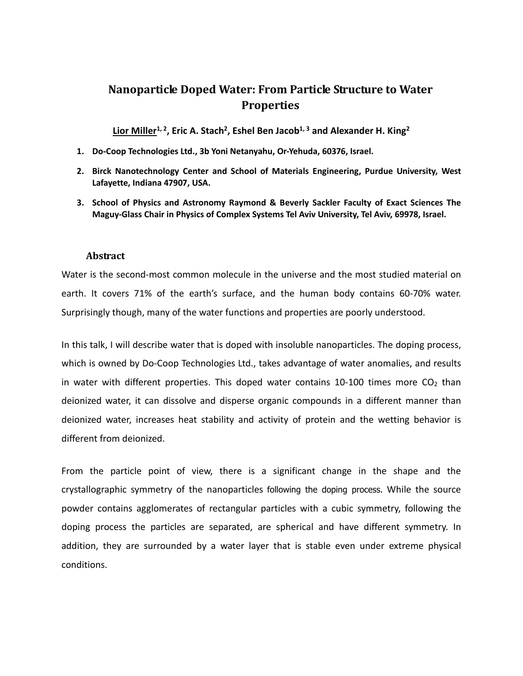## **Nanoparticle Doped Water: From Particle Structure to Water Properties**

Lior Miller<sup>1, 2</sup>, Eric A. Stach<sup>2</sup>, Eshel Ben Jacob<sup>1, 3</sup> and Alexander H. King<sup>2</sup>

- **1. Do-Coop Technologies Ltd., 3b Yoni Netanyahu, Or-Yehuda, 60376, Israel.**
- **2. Birck Nanotechnology Center and School of Materials Engineering, Purdue University, West Lafayette, Indiana 47907, USA.**
- **3. School of Physics and Astronomy Raymond & Beverly Sackler Faculty of Exact Sciences The Maguy-Glass Chair in Physics of Complex Systems Tel Aviv University, Tel Aviv, 69978, Israel.**

## **Abstract**

Water is the second-most common molecule in the universe and the most studied material on earth. It covers 71% of the earth's surface, and the human body contains 60-70% water. Surprisingly though, many of the water functions and properties are poorly understood.

In this talk, I will describe water that is doped with insoluble nanoparticles. The doping process, which is owned by Do-Coop Technologies Ltd., takes advantage of water anomalies, and results in water with different properties. This doped water contains 10-100 times more  $CO<sub>2</sub>$  than deionized water, it can dissolve and disperse organic compounds in a different manner than deionized water, increases heat stability and activity of protein and the wetting behavior is different from deionized.

From the particle point of view, there is a significant change in the shape and the crystallographic symmetry of the nanoparticles following the doping process. While the source powder contains agglomerates of rectangular particles with a cubic symmetry, following the doping process the particles are separated, are spherical and have different symmetry. In addition, they are surrounded by a water layer that is stable even under extreme physical conditions.